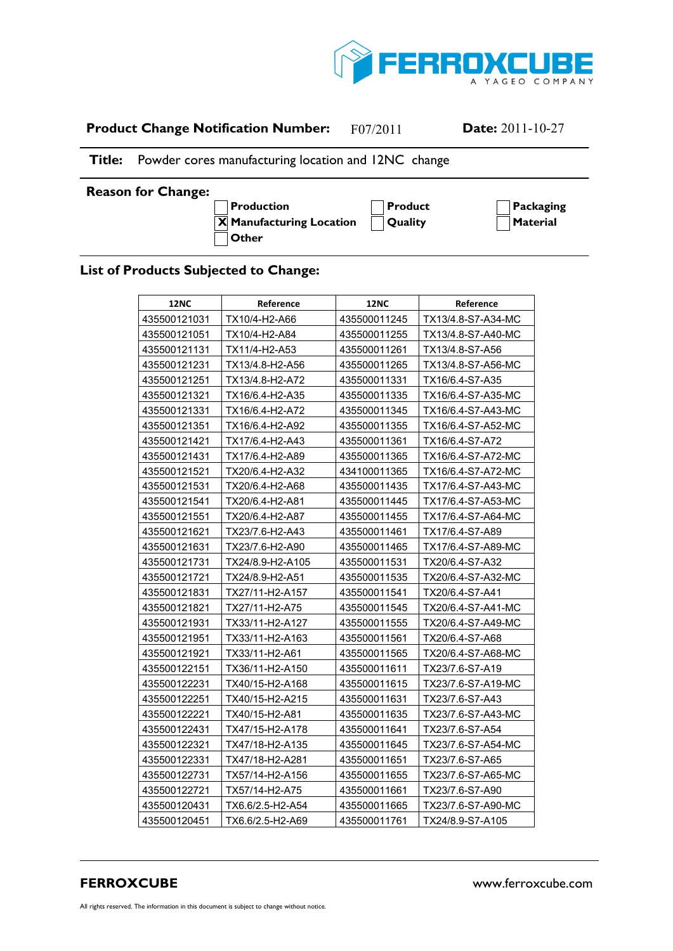

## **Product Change Notification Number:** F07/2011 **Date:** 2011-10-27

## **Title:** Powder cores manufacturing location and 12NC change

## **Reason for Change:**

 $\overline{X}$  **Manufacturing Location**  $\bigcap$  Quality  $\bigcap$  **Material A Other**

**A Production A Product A Packaging**

## **List of Products Subjected to Change:**

| <b>12NC</b>  | Reference        | <b>12NC</b>  | Reference          |
|--------------|------------------|--------------|--------------------|
| 435500121031 | TX10/4-H2-A66    | 435500011245 | TX13/4.8-S7-A34-MC |
| 435500121051 | TX10/4-H2-A84    | 435500011255 | TX13/4.8-S7-A40-MC |
| 435500121131 | TX11/4-H2-A53    | 435500011261 | TX13/4.8-S7-A56    |
| 435500121231 | TX13/4.8-H2-A56  | 435500011265 | TX13/4.8-S7-A56-MC |
| 435500121251 | TX13/4.8-H2-A72  | 435500011331 | TX16/6.4-S7-A35    |
| 435500121321 | TX16/6.4-H2-A35  | 435500011335 | TX16/6.4-S7-A35-MC |
| 435500121331 | TX16/6.4-H2-A72  | 435500011345 | TX16/6.4-S7-A43-MC |
| 435500121351 | TX16/6.4-H2-A92  | 435500011355 | TX16/6.4-S7-A52-MC |
| 435500121421 | TX17/6.4-H2-A43  | 435500011361 | TX16/6.4-S7-A72    |
| 435500121431 | TX17/6.4-H2-A89  | 435500011365 | TX16/6.4-S7-A72-MC |
| 435500121521 | TX20/6.4-H2-A32  | 434100011365 | TX16/6.4-S7-A72-MC |
| 435500121531 | TX20/6.4-H2-A68  | 435500011435 | TX17/6.4-S7-A43-MC |
| 435500121541 | TX20/6.4-H2-A81  | 435500011445 | TX17/6.4-S7-A53-MC |
| 435500121551 | TX20/6.4-H2-A87  | 435500011455 | TX17/6.4-S7-A64-MC |
| 435500121621 | TX23/7.6-H2-A43  | 435500011461 | TX17/6.4-S7-A89    |
| 435500121631 | TX23/7.6-H2-A90  | 435500011465 | TX17/6.4-S7-A89-MC |
| 435500121731 | TX24/8.9-H2-A105 | 435500011531 | TX20/6.4-S7-A32    |
| 435500121721 | TX24/8.9-H2-A51  | 435500011535 | TX20/6.4-S7-A32-MC |
| 435500121831 | TX27/11-H2-A157  | 435500011541 | TX20/6.4-S7-A41    |
| 435500121821 | TX27/11-H2-A75   | 435500011545 | TX20/6.4-S7-A41-MC |
| 435500121931 | TX33/11-H2-A127  | 435500011555 | TX20/6.4-S7-A49-MC |
| 435500121951 | TX33/11-H2-A163  | 435500011561 | TX20/6.4-S7-A68    |
| 435500121921 | TX33/11-H2-A61   | 435500011565 | TX20/6.4-S7-A68-MC |
| 435500122151 | TX36/11-H2-A150  | 435500011611 | TX23/7.6-S7-A19    |
| 435500122231 | TX40/15-H2-A168  | 435500011615 | TX23/7.6-S7-A19-MC |
| 435500122251 | TX40/15-H2-A215  | 435500011631 | TX23/7.6-S7-A43    |
| 435500122221 | TX40/15-H2-A81   | 435500011635 | TX23/7.6-S7-A43-MC |
| 435500122431 | TX47/15-H2-A178  | 435500011641 | TX23/7.6-S7-A54    |
| 435500122321 | TX47/18-H2-A135  | 435500011645 | TX23/7.6-S7-A54-MC |
| 435500122331 | TX47/18-H2-A281  | 435500011651 | TX23/7.6-S7-A65    |
| 435500122731 | TX57/14-H2-A156  | 435500011655 | TX23/7.6-S7-A65-MC |
| 435500122721 | TX57/14-H2-A75   | 435500011661 | TX23/7.6-S7-A90    |
| 435500120431 | TX6.6/2.5-H2-A54 | 435500011665 | TX23/7.6-S7-A90-MC |
| 435500120451 | TX6.6/2.5-H2-A69 | 435500011761 | TX24/8.9-S7-A105   |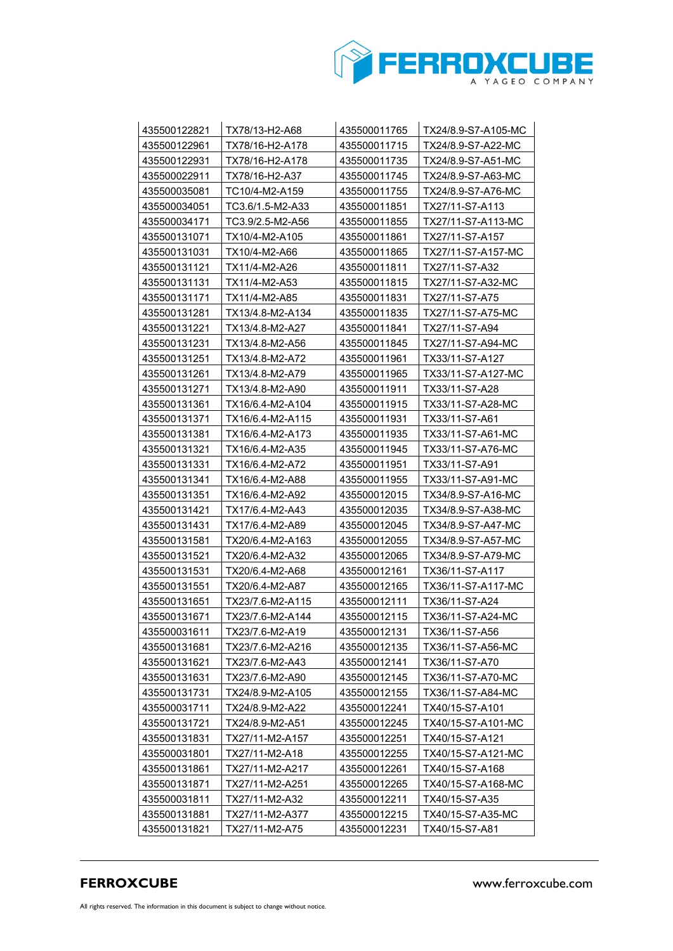

| 435500122821                 | TX78/13-H2-A68                      | 435500011765                 | TX24/8.9-S7-A105-MC                 |
|------------------------------|-------------------------------------|------------------------------|-------------------------------------|
| 435500122961                 | TX78/16-H2-A178                     | 435500011715                 | TX24/8.9-S7-A22-MC                  |
| 435500122931                 | TX78/16-H2-A178                     | 435500011735                 | TX24/8.9-S7-A51-MC                  |
| 435500022911                 | TX78/16-H2-A37                      | 435500011745                 | TX24/8.9-S7-A63-MC                  |
| 435500035081                 | TC10/4-M2-A159                      | 435500011755                 | TX24/8.9-S7-A76-MC                  |
| 435500034051                 | TC3.6/1.5-M2-A33                    | 435500011851                 | TX27/11-S7-A113                     |
| 435500034171                 | TC3.9/2.5-M2-A56                    | 435500011855                 | TX27/11-S7-A113-MC                  |
| 435500131071                 | TX10/4-M2-A105                      | 435500011861                 | TX27/11-S7-A157                     |
| 435500131031                 | TX10/4-M2-A66                       | 435500011865                 | TX27/11-S7-A157-MC                  |
| 435500131121                 | TX11/4-M2-A26                       | 435500011811                 | TX27/11-S7-A32                      |
| 435500131131                 | TX11/4-M2-A53                       | 435500011815                 | TX27/11-S7-A32-MC                   |
| 435500131171                 | TX11/4-M2-A85                       | 435500011831                 | TX27/11-S7-A75                      |
| 435500131281                 | TX13/4.8-M2-A134                    | 435500011835                 | TX27/11-S7-A75-MC                   |
| 435500131221                 | TX13/4.8-M2-A27                     | 435500011841                 | TX27/11-S7-A94                      |
| 435500131231                 | TX13/4.8-M2-A56                     | 435500011845                 | TX27/11-S7-A94-MC                   |
| 435500131251                 | TX13/4.8-M2-A72                     | 435500011961                 | TX33/11-S7-A127                     |
| 435500131261                 | TX13/4.8-M2-A79                     | 435500011965                 | TX33/11-S7-A127-MC                  |
| 435500131271                 | TX13/4.8-M2-A90                     | 435500011911                 | TX33/11-S7-A28                      |
| 435500131361                 | TX16/6.4-M2-A104                    | 435500011915                 | TX33/11-S7-A28-MC                   |
| 435500131371                 | TX16/6.4-M2-A115                    | 435500011931                 | TX33/11-S7-A61                      |
| 435500131381                 | TX16/6.4-M2-A173                    | 435500011935                 | TX33/11-S7-A61-MC                   |
| 435500131321                 | TX16/6.4-M2-A35                     | 435500011945                 | TX33/11-S7-A76-MC                   |
| 435500131331                 | TX16/6.4-M2-A72                     | 435500011951                 | TX33/11-S7-A91                      |
| 435500131341                 | TX16/6.4-M2-A88                     | 435500011955                 | TX33/11-S7-A91-MC                   |
| 435500131351                 | TX16/6.4-M2-A92                     | 435500012015                 | TX34/8.9-S7-A16-MC                  |
| 435500131421                 | TX17/6.4-M2-A43                     | 435500012035                 | TX34/8.9-S7-A38-MC                  |
| 435500131431                 | TX17/6.4-M2-A89                     | 435500012045                 | TX34/8.9-S7-A47-MC                  |
| 435500131581                 | TX20/6.4-M2-A163                    | 435500012055                 | TX34/8.9-S7-A57-MC                  |
| 435500131521                 | TX20/6.4-M2-A32                     | 435500012065                 | TX34/8.9-S7-A79-MC                  |
| 435500131531                 | TX20/6.4-M2-A68                     | 435500012161                 | TX36/11-S7-A117                     |
| 435500131551                 | TX20/6.4-M2-A87                     | 435500012165                 | TX36/11-S7-A117-MC                  |
| 435500131651                 | TX23/7.6-M2-A115                    | 435500012111                 | TX36/11-S7-A24                      |
| 435500131671                 | TX23/7.6-M2-A144<br>TX23/7.6-M2-A19 | 435500012115<br>435500012131 | TX36/11-S7-A24-MC                   |
| 435500031611<br>435500131681 | TX23/7.6-M2-A216                    |                              | TX36/11-S7-A56<br>TX36/11-S7-A56-MC |
| 435500131621                 | TX23/7.6-M2-A43                     | 435500012135<br>435500012141 | TX36/11-S7-A70                      |
| 435500131631                 | TX23/7.6-M2-A90                     | 435500012145                 | TX36/11-S7-A70-MC                   |
| 435500131731                 | TX24/8.9-M2-A105                    | 435500012155                 | TX36/11-S7-A84-MC                   |
| 435500031711                 | TX24/8.9-M2-A22                     | 435500012241                 | TX40/15-S7-A101                     |
| 435500131721                 | TX24/8.9-M2-A51                     | 435500012245                 | TX40/15-S7-A101-MC                  |
| 435500131831                 | TX27/11-M2-A157                     | 435500012251                 | TX40/15-S7-A121                     |
| 435500031801                 | TX27/11-M2-A18                      | 435500012255                 | TX40/15-S7-A121-MC                  |
| 435500131861                 | TX27/11-M2-A217                     | 435500012261                 | TX40/15-S7-A168                     |
| 435500131871                 | TX27/11-M2-A251                     | 435500012265                 | TX40/15-S7-A168-MC                  |
| 435500031811                 | TX27/11-M2-A32                      | 435500012211                 | TX40/15-S7-A35                      |
| 435500131881                 | TX27/11-M2-A377                     | 435500012215                 | TX40/15-S7-A35-MC                   |
| 435500131821                 | TX27/11-M2-A75                      | 435500012231                 | TX40/15-S7-A81                      |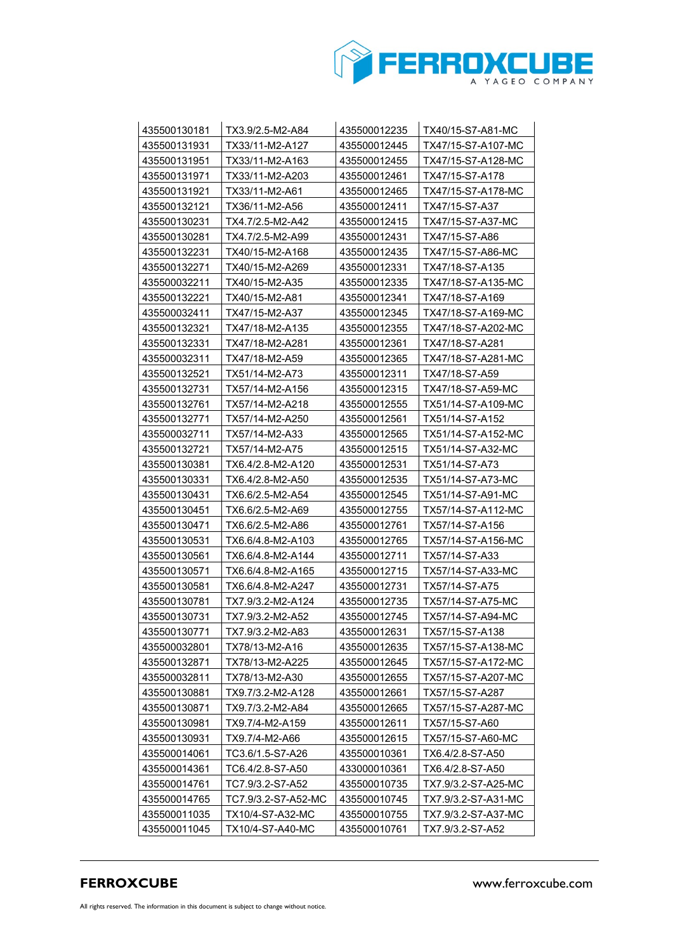

| 435500130181 | TX3.9/2.5-M2-A84    | 435500012235 | TX40/15-S7-A81-MC   |
|--------------|---------------------|--------------|---------------------|
| 435500131931 | TX33/11-M2-A127     | 435500012445 | TX47/15-S7-A107-MC  |
| 435500131951 | TX33/11-M2-A163     | 435500012455 | TX47/15-S7-A128-MC  |
| 435500131971 | TX33/11-M2-A203     | 435500012461 | TX47/15-S7-A178     |
| 435500131921 | TX33/11-M2-A61      | 435500012465 | TX47/15-S7-A178-MC  |
| 435500132121 | TX36/11-M2-A56      | 435500012411 | TX47/15-S7-A37      |
| 435500130231 | TX4.7/2.5-M2-A42    | 435500012415 | TX47/15-S7-A37-MC   |
| 435500130281 | TX4.7/2.5-M2-A99    | 435500012431 | TX47/15-S7-A86      |
| 435500132231 | TX40/15-M2-A168     | 435500012435 | TX47/15-S7-A86-MC   |
| 435500132271 | TX40/15-M2-A269     | 435500012331 | TX47/18-S7-A135     |
| 435500032211 | TX40/15-M2-A35      | 435500012335 | TX47/18-S7-A135-MC  |
| 435500132221 | TX40/15-M2-A81      | 435500012341 | TX47/18-S7-A169     |
| 435500032411 | TX47/15-M2-A37      | 435500012345 | TX47/18-S7-A169-MC  |
| 435500132321 | TX47/18-M2-A135     | 435500012355 | TX47/18-S7-A202-MC  |
| 435500132331 | TX47/18-M2-A281     | 435500012361 | TX47/18-S7-A281     |
| 435500032311 | TX47/18-M2-A59      | 435500012365 | TX47/18-S7-A281-MC  |
| 435500132521 | TX51/14-M2-A73      | 435500012311 | TX47/18-S7-A59      |
| 435500132731 | TX57/14-M2-A156     | 435500012315 | TX47/18-S7-A59-MC   |
| 435500132761 | TX57/14-M2-A218     | 435500012555 | TX51/14-S7-A109-MC  |
| 435500132771 | TX57/14-M2-A250     | 435500012561 | TX51/14-S7-A152     |
| 435500032711 | TX57/14-M2-A33      | 435500012565 | TX51/14-S7-A152-MC  |
| 435500132721 | TX57/14-M2-A75      | 435500012515 | TX51/14-S7-A32-MC   |
| 435500130381 | TX6.4/2.8-M2-A120   | 435500012531 | TX51/14-S7-A73      |
| 435500130331 | TX6.4/2.8-M2-A50    | 435500012535 | TX51/14-S7-A73-MC   |
| 435500130431 | TX6.6/2.5-M2-A54    | 435500012545 | TX51/14-S7-A91-MC   |
| 435500130451 | TX6.6/2.5-M2-A69    | 435500012755 | TX57/14-S7-A112-MC  |
| 435500130471 | TX6.6/2.5-M2-A86    | 435500012761 | TX57/14-S7-A156     |
| 435500130531 | TX6.6/4.8-M2-A103   | 435500012765 | TX57/14-S7-A156-MC  |
| 435500130561 | TX6.6/4.8-M2-A144   | 435500012711 | TX57/14-S7-A33      |
| 435500130571 | TX6.6/4.8-M2-A165   | 435500012715 | TX57/14-S7-A33-MC   |
| 435500130581 | TX6.6/4.8-M2-A247   | 435500012731 | TX57/14-S7-A75      |
| 435500130781 | TX7.9/3.2-M2-A124   | 435500012735 | TX57/14-S7-A75-MC   |
| 435500130731 | TX7.9/3.2-M2-A52    | 435500012745 | TX57/14-S7-A94-MC   |
| 435500130771 | TX7.9/3.2-M2-A83    | 435500012631 | TX57/15-S7-A138     |
| 435500032801 | TX78/13-M2-A16      | 435500012635 | TX57/15-S7-A138-MC  |
| 435500132871 | TX78/13-M2-A225     | 435500012645 | TX57/15-S7-A172-MC  |
| 435500032811 | TX78/13-M2-A30      | 435500012655 | TX57/15-S7-A207-MC  |
| 435500130881 | TX9.7/3.2-M2-A128   | 435500012661 | TX57/15-S7-A287     |
| 435500130871 | TX9.7/3.2-M2-A84    | 435500012665 | TX57/15-S7-A287-MC  |
| 435500130981 | TX9.7/4-M2-A159     | 435500012611 | TX57/15-S7-A60      |
| 435500130931 | TX9.7/4-M2-A66      | 435500012615 | TX57/15-S7-A60-MC   |
| 435500014061 | TC3.6/1.5-S7-A26    | 435500010361 | TX6.4/2.8-S7-A50    |
| 435500014361 | TC6.4/2.8-S7-A50    | 433000010361 | TX6.4/2.8-S7-A50    |
| 435500014761 | TC7.9/3.2-S7-A52    | 435500010735 | TX7.9/3.2-S7-A25-MC |
| 435500014765 | TC7.9/3.2-S7-A52-MC | 435500010745 | TX7.9/3.2-S7-A31-MC |
| 435500011035 | TX10/4-S7-A32-MC    | 435500010755 | TX7.9/3.2-S7-A37-MC |
| 435500011045 | TX10/4-S7-A40-MC    | 435500010761 | TX7.9/3.2-S7-A52    |